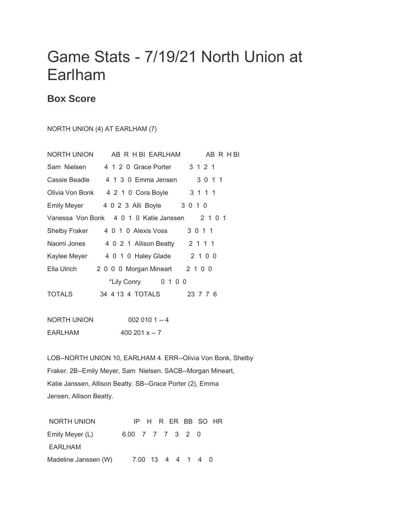## Game Stats - 7/19/21 North Union at Earlham

## **Box Score**

## NORTH UNION (4) AT EARLHAM (7)

| NORTH UNION                                    | AB R H BI EARLHAM<br>AB R H BI                |  |
|------------------------------------------------|-----------------------------------------------|--|
| Sam Nielsen                                    | 3 1 2 1<br>4 1 2 0 Grace Porter               |  |
| Cassie Beadle                                  | 3 0 1 1<br>4 1 3 0 Emma Jensen                |  |
|                                                | 3 1 1 1<br>Olivia Von Bonk 4 2 1 0 Cora Boyle |  |
| Emily Meyer                                    | 4 0 2 3 Alli Boyle 3 0 1 0                    |  |
| Vanessa Von Bonk 4 0 1 0 Katie Janssen 2 1 0 1 |                                               |  |
|                                                | 3 0 1 1<br>Shelby Fraker 4 0 1 0 Alexis Voss  |  |
| Naomi Jones                                    | 4 0 2 1 Allison Beatty 2 1 1 1                |  |
|                                                | Kaylee Meyer 4 0 1 0 Haley Glade 2 1 0 0      |  |
| Ella Ulrich                                    | 2 0 0 0 Morgan Mineart 2 1 0 0                |  |
|                                                | *Lily Conry<br>0 1 0 0                        |  |
| TOTALS                                         | 34 4 13 4 TOTALS<br>23 7 7 6                  |  |
|                                                |                                               |  |

| NORTH UNION | $0020101 - 4$      |
|-------------|--------------------|
| EARLHAM     | $400201 \times -7$ |

LOB--NORTH UNION 10, EARLHAM 4. ERR--Olivia Von Bonk, Shelby Fraker. 2B--Emily Meyer, Sam Nielsen. SACB--Morgan Mineart, Katie Janssen, Allison Beatty. SB--Grace Porter (2), Emma Jensen, Allison Beatty.

NORTH UNION IP H R ER BB SO HR Emily Meyer (L) 6.00 7 7 7 3 2 0 EARLHAM Madeline Janssen (W) 7.00 13 4 4 1 4 0